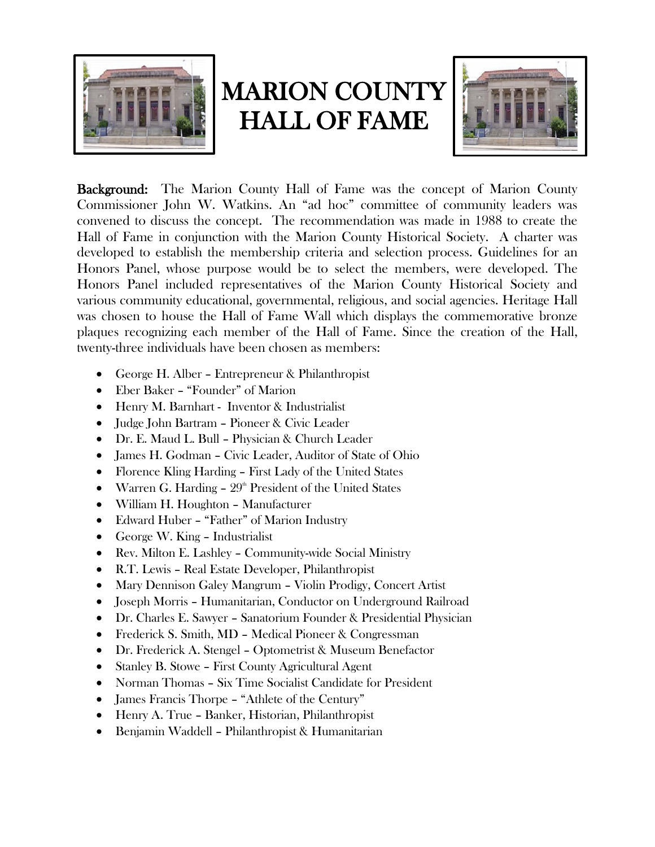

## MARION COUNTY HALL OF FAME



Background: The Marion County Hall of Fame was the concept of Marion County Commissioner John W. Watkins. An "ad hoc" committee of community leaders was convened to discuss the concept. The recommendation was made in 1988 to create the Hall of Fame in conjunction with the Marion County Historical Society. A charter was developed to establish the membership criteria and selection process. Guidelines for an Honors Panel, whose purpose would be to select the members, were developed. The Honors Panel included representatives of the Marion County Historical Society and various community educational, governmental, religious, and social agencies. Heritage Hall was chosen to house the Hall of Fame Wall which displays the commemorative bronze plaques recognizing each member of the Hall of Fame. Since the creation of the Hall, twenty-three individuals have been chosen as members:

- George H. Alber Entrepreneur & Philanthropist
- Eber Baker "Founder" of Marion
- Henry M. Barnhart Inventor & Industrialist
- Judge John Bartram Pioneer & Civic Leader
- Dr. E. Maud L. Bull Physician & Church Leader
- James H. Godman Civic Leader, Auditor of State of Ohio
- Florence Kling Harding First Lady of the United States
- Warren G. Harding  $-29<sup>th</sup>$  President of the United States
- William H. Houghton Manufacturer
- Edward Huber "Father" of Marion Industry
- George W. King Industrialist
- Rev. Milton E. Lashley Community-wide Social Ministry
- R.T. Lewis Real Estate Developer, Philanthropist
- Mary Dennison Galey Mangrum Violin Prodigy, Concert Artist
- Joseph Morris Humanitarian, Conductor on Underground Railroad
- Dr. Charles E. Sawyer Sanatorium Founder & Presidential Physician
- Frederick S. Smith, MD Medical Pioneer & Congressman
- Dr. Frederick A. Stengel Optometrist & Museum Benefactor
- Stanley B. Stowe First County Agricultural Agent
- Norman Thomas Six Time Socialist Candidate for President
- James Francis Thorpe "Athlete of the Century"
- Henry A. True Banker, Historian, Philanthropist
- Benjamin Waddell Philanthropist & Humanitarian